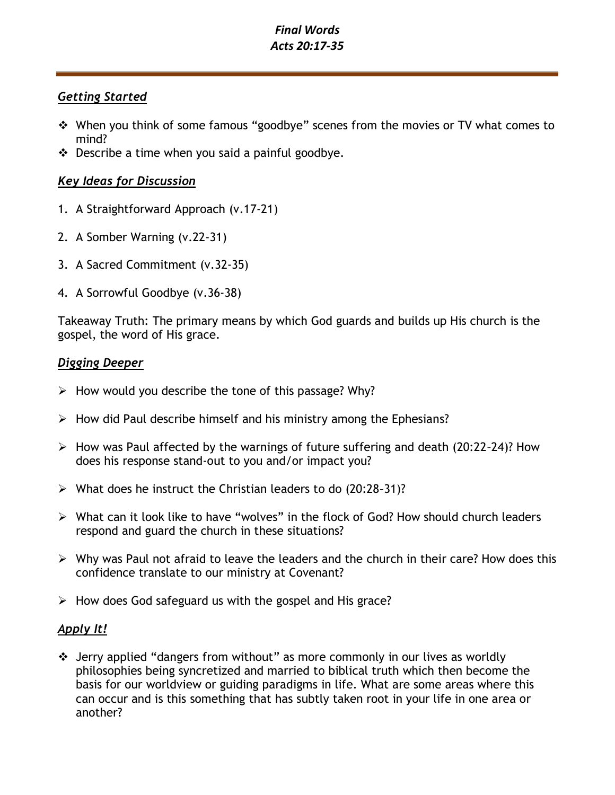# *Final Words Acts 20:17-35*

## *Getting Started*

- ❖ When you think of some famous "goodbye" scenes from the movies or TV what comes to mind?
- $\cdot \cdot$  Describe a time when you said a painful goodbye.

# *Key Ideas for Discussion*

- 1. A Straightforward Approach (v.17-21)
- 2. A Somber Warning (v.22-31)
- 3. A Sacred Commitment (v.32-35)
- 4. A Sorrowful Goodbye (v.36-38)

Takeaway Truth: The primary means by which God guards and builds up His church is the gospel, the word of His grace.

## *Digging Deeper*

- $\triangleright$  How would you describe the tone of this passage? Why?
- $\triangleright$  How did Paul describe himself and his ministry among the Ephesians?
- ➢ How was Paul affected by the warnings of future suffering and death (20:22–24)? How does his response stand-out to you and/or impact you?
- ➢ What does he instruct the Christian leaders to do (20:28–31)?
- ➢ What can it look like to have "wolves" in the flock of God? How should church leaders respond and guard the church in these situations?
- ➢ Why was Paul not afraid to leave the leaders and the church in their care? How does this confidence translate to our ministry at Covenant?
- $\triangleright$  How does God safeguard us with the gospel and His grace?

## *Apply It!*

❖ Jerry applied "dangers from without" as more commonly in our lives as worldly philosophies being syncretized and married to biblical truth which then become the basis for our worldview or guiding paradigms in life. What are some areas where this can occur and is this something that has subtly taken root in your life in one area or another?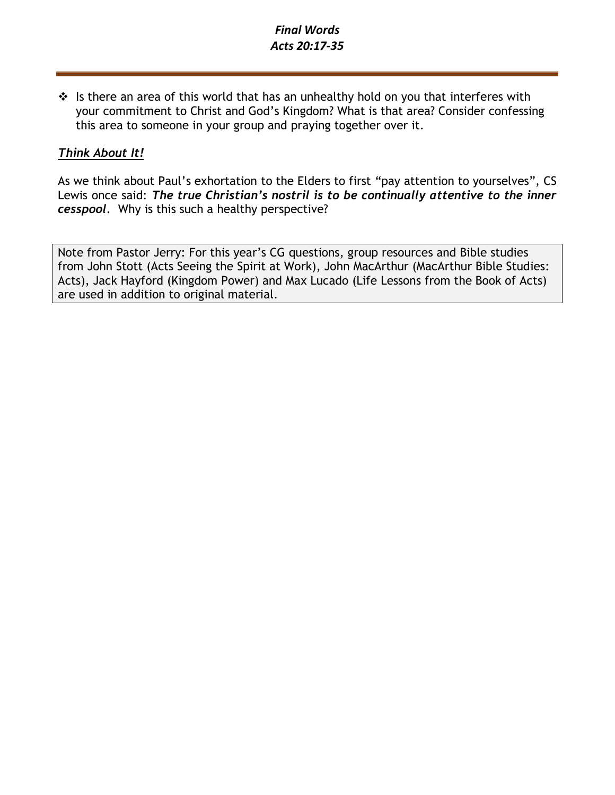# *Final Words Acts 20:17-35*

 $\cdot \cdot$  Is there an area of this world that has an unhealthy hold on you that interferes with your commitment to Christ and God's Kingdom? What is that area? Consider confessing this area to someone in your group and praying together over it.

# *Think About It!*

As we think about Paul's exhortation to the Elders to first "pay attention to yourselves", CS Lewis once said: *The true Christian's nostril is to be continually attentive to the inner cesspool.* Why is this such a healthy perspective?

Note from Pastor Jerry: For this year's CG questions, group resources and Bible studies from John Stott (Acts Seeing the Spirit at Work), John MacArthur (MacArthur Bible Studies: Acts), Jack Hayford (Kingdom Power) and Max Lucado (Life Lessons from the Book of Acts) are used in addition to original material.